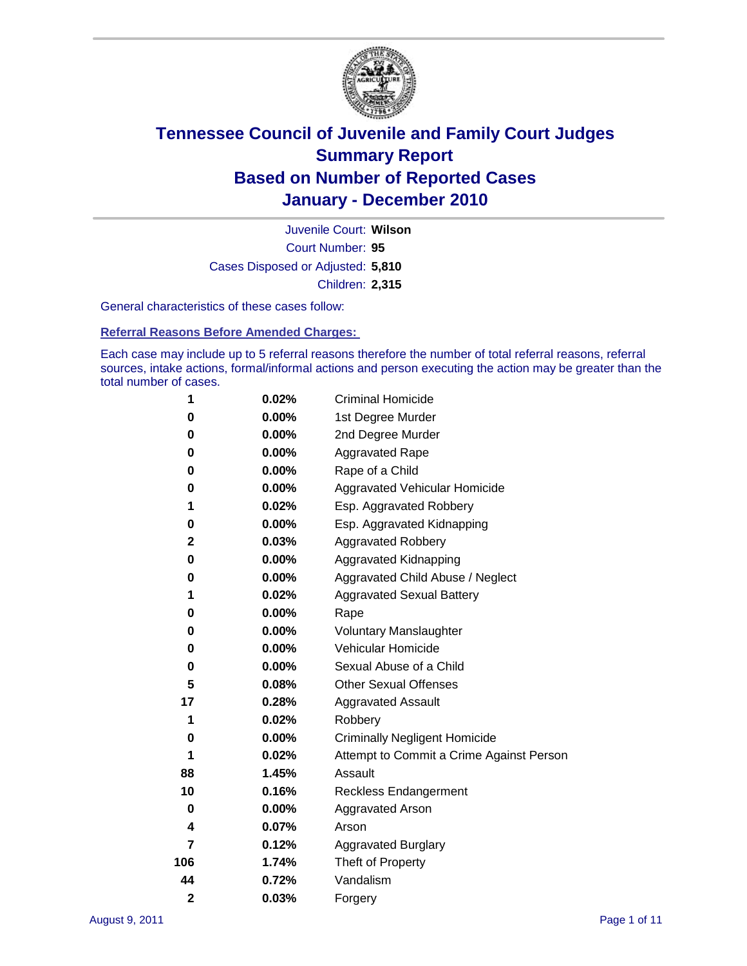

Court Number: **95** Juvenile Court: **Wilson** Cases Disposed or Adjusted: **5,810** Children: **2,315**

General characteristics of these cases follow:

**Referral Reasons Before Amended Charges:** 

Each case may include up to 5 referral reasons therefore the number of total referral reasons, referral sources, intake actions, formal/informal actions and person executing the action may be greater than the total number of cases.

| 1              | 0.02%    | <b>Criminal Homicide</b>                 |
|----------------|----------|------------------------------------------|
| 0              | 0.00%    | 1st Degree Murder                        |
| 0              | $0.00\%$ | 2nd Degree Murder                        |
| 0              | $0.00\%$ | <b>Aggravated Rape</b>                   |
| 0              | $0.00\%$ | Rape of a Child                          |
| 0              | 0.00%    | Aggravated Vehicular Homicide            |
| 1              | 0.02%    | Esp. Aggravated Robbery                  |
| 0              | 0.00%    | Esp. Aggravated Kidnapping               |
| 2              | 0.03%    | <b>Aggravated Robbery</b>                |
| 0              | 0.00%    | Aggravated Kidnapping                    |
| 0              | 0.00%    | Aggravated Child Abuse / Neglect         |
| 1              | 0.02%    | <b>Aggravated Sexual Battery</b>         |
| 0              | 0.00%    | Rape                                     |
| 0              | $0.00\%$ | <b>Voluntary Manslaughter</b>            |
| 0              | 0.00%    | Vehicular Homicide                       |
| 0              | 0.00%    | Sexual Abuse of a Child                  |
| 5              | 0.08%    | <b>Other Sexual Offenses</b>             |
| 17             | 0.28%    | <b>Aggravated Assault</b>                |
| 1              | 0.02%    | Robbery                                  |
| 0              | $0.00\%$ | <b>Criminally Negligent Homicide</b>     |
| 1              | 0.02%    | Attempt to Commit a Crime Against Person |
| 88             | 1.45%    | Assault                                  |
| 10             | 0.16%    | <b>Reckless Endangerment</b>             |
| 0              | $0.00\%$ | <b>Aggravated Arson</b>                  |
| 4              | 0.07%    | Arson                                    |
| 7              | 0.12%    | <b>Aggravated Burglary</b>               |
| 106            | 1.74%    | Theft of Property                        |
| 44             | 0.72%    | Vandalism                                |
| $\overline{2}$ | 0.03%    | Forgery                                  |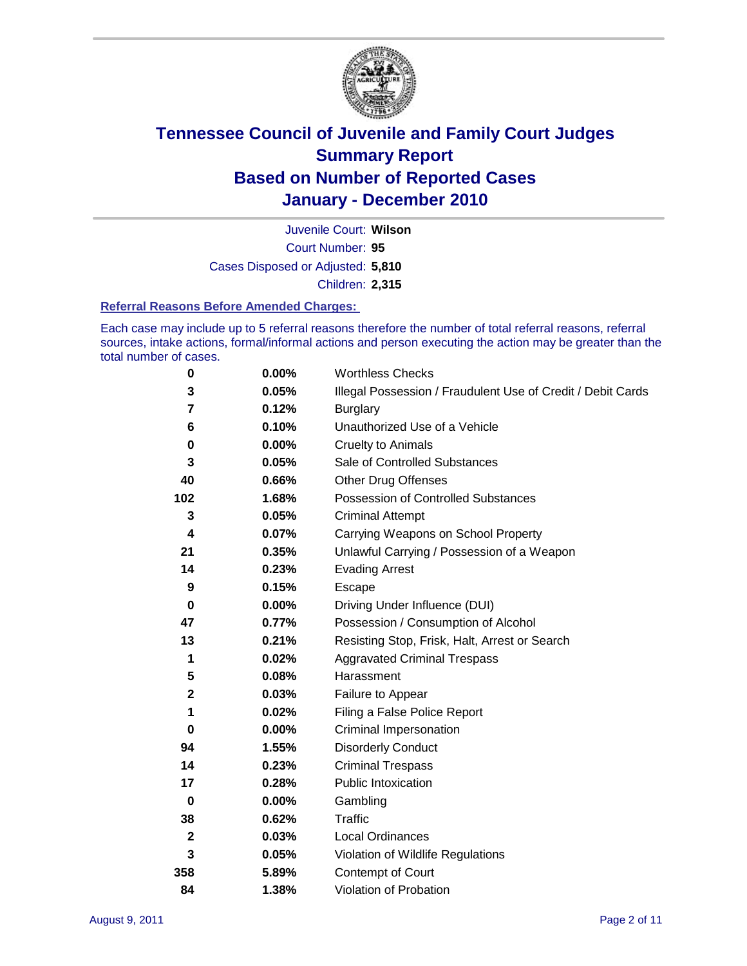

Court Number: **95** Juvenile Court: **Wilson** Cases Disposed or Adjusted: **5,810** Children: **2,315**

#### **Referral Reasons Before Amended Charges:**

Each case may include up to 5 referral reasons therefore the number of total referral reasons, referral sources, intake actions, formal/informal actions and person executing the action may be greater than the total number of cases.

| $\pmb{0}$    | 0.00%    | <b>Worthless Checks</b>                                     |
|--------------|----------|-------------------------------------------------------------|
| 3            | 0.05%    | Illegal Possession / Fraudulent Use of Credit / Debit Cards |
| 7            | 0.12%    | <b>Burglary</b>                                             |
| 6            | 0.10%    | Unauthorized Use of a Vehicle                               |
| $\pmb{0}$    | $0.00\%$ | <b>Cruelty to Animals</b>                                   |
| 3            | 0.05%    | Sale of Controlled Substances                               |
| 40           | 0.66%    | <b>Other Drug Offenses</b>                                  |
| 102          | 1.68%    | Possession of Controlled Substances                         |
| 3            | 0.05%    | <b>Criminal Attempt</b>                                     |
| 4            | 0.07%    | Carrying Weapons on School Property                         |
| 21           | 0.35%    | Unlawful Carrying / Possession of a Weapon                  |
| 14           | 0.23%    | <b>Evading Arrest</b>                                       |
| 9            | 0.15%    | Escape                                                      |
| 0            | 0.00%    | Driving Under Influence (DUI)                               |
| 47           | 0.77%    | Possession / Consumption of Alcohol                         |
| 13           | 0.21%    | Resisting Stop, Frisk, Halt, Arrest or Search               |
| 1            | 0.02%    | <b>Aggravated Criminal Trespass</b>                         |
| 5            | 0.08%    | Harassment                                                  |
| $\mathbf 2$  | 0.03%    | Failure to Appear                                           |
| 1            | 0.02%    | Filing a False Police Report                                |
| $\bf{0}$     | 0.00%    | Criminal Impersonation                                      |
| 94           | 1.55%    | <b>Disorderly Conduct</b>                                   |
| 14           | 0.23%    | <b>Criminal Trespass</b>                                    |
| 17           | 0.28%    | <b>Public Intoxication</b>                                  |
| $\mathbf 0$  | $0.00\%$ | Gambling                                                    |
| 38           | 0.62%    | <b>Traffic</b>                                              |
| $\mathbf{2}$ | 0.03%    | Local Ordinances                                            |
| 3            | 0.05%    | Violation of Wildlife Regulations                           |
| 358          | 5.89%    | Contempt of Court                                           |
| 84           | 1.38%    | Violation of Probation                                      |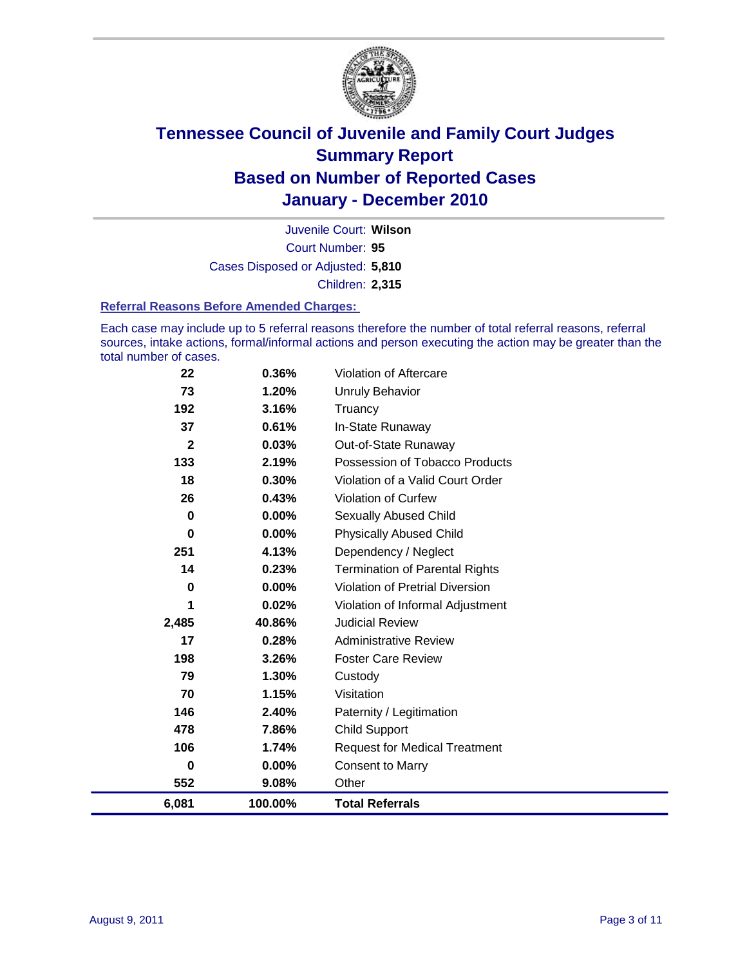

Court Number: **95** Juvenile Court: **Wilson** Cases Disposed or Adjusted: **5,810** Children: **2,315**

#### **Referral Reasons Before Amended Charges:**

Each case may include up to 5 referral reasons therefore the number of total referral reasons, referral sources, intake actions, formal/informal actions and person executing the action may be greater than the total number of cases.

| 22           | 0.36%    | <b>Violation of Aftercare</b>          |
|--------------|----------|----------------------------------------|
| 73           | 1.20%    | Unruly Behavior                        |
| 192          | 3.16%    | Truancy                                |
| 37           | 0.61%    | In-State Runaway                       |
| $\mathbf{2}$ | 0.03%    | Out-of-State Runaway                   |
| 133          | 2.19%    | Possession of Tobacco Products         |
| 18           | 0.30%    | Violation of a Valid Court Order       |
| 26           | 0.43%    | <b>Violation of Curfew</b>             |
| $\mathbf 0$  | 0.00%    | <b>Sexually Abused Child</b>           |
| $\bf{0}$     | 0.00%    | <b>Physically Abused Child</b>         |
| 251          | 4.13%    | Dependency / Neglect                   |
| 14           | 0.23%    | <b>Termination of Parental Rights</b>  |
| 0            | 0.00%    | <b>Violation of Pretrial Diversion</b> |
| 1            | 0.02%    | Violation of Informal Adjustment       |
| 2,485        | 40.86%   | <b>Judicial Review</b>                 |
| 17           | 0.28%    | <b>Administrative Review</b>           |
| 198          | 3.26%    | <b>Foster Care Review</b>              |
| 79           | 1.30%    | Custody                                |
| 70           | 1.15%    | Visitation                             |
| 146          | 2.40%    | Paternity / Legitimation               |
| 478          | 7.86%    | <b>Child Support</b>                   |
| 106          | 1.74%    | <b>Request for Medical Treatment</b>   |
| 0            | $0.00\%$ | <b>Consent to Marry</b>                |
| 552          | 9.08%    | Other                                  |
| 6,081        | 100.00%  | <b>Total Referrals</b>                 |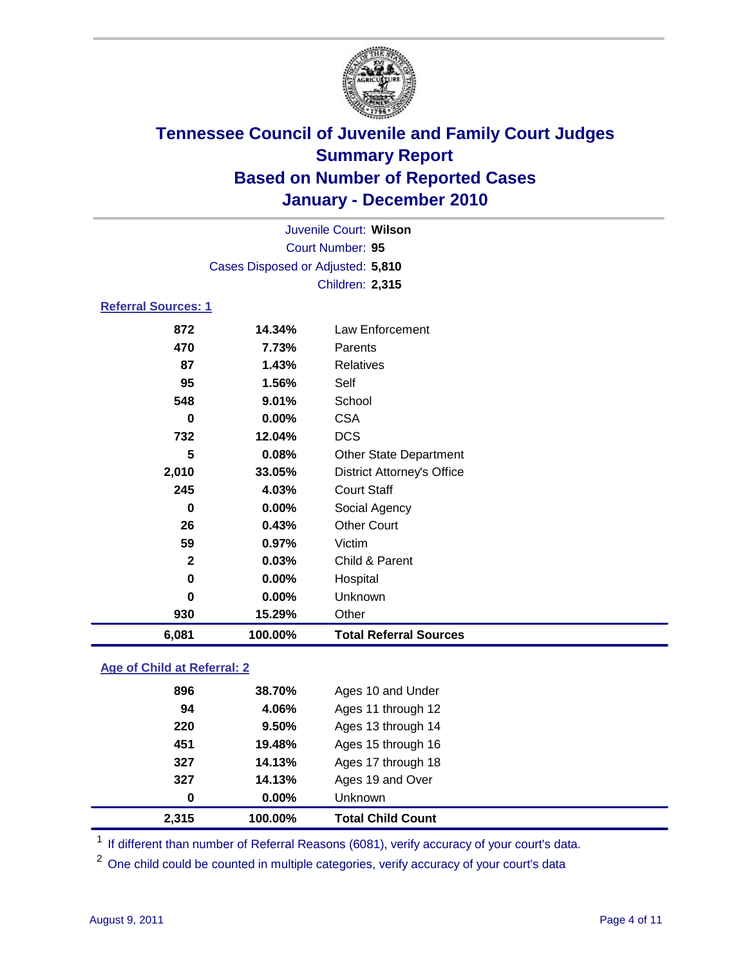

| Juvenile Court: Wilson     |                                   |                                   |  |  |
|----------------------------|-----------------------------------|-----------------------------------|--|--|
|                            | Court Number: 95                  |                                   |  |  |
|                            | Cases Disposed or Adjusted: 5,810 |                                   |  |  |
|                            | <b>Children: 2,315</b>            |                                   |  |  |
| <b>Referral Sources: 1</b> |                                   |                                   |  |  |
| 872                        | 14.34%                            | <b>Law Enforcement</b>            |  |  |
| 470                        | 7.73%                             | Parents                           |  |  |
| 87                         | 1.43%                             | <b>Relatives</b>                  |  |  |
| 95                         | 1.56%                             | Self                              |  |  |
| 548                        | 9.01%                             | School                            |  |  |
| 0                          | 0.00%                             | <b>CSA</b>                        |  |  |
| 732                        | 12.04%                            | <b>DCS</b>                        |  |  |
| 5                          | 0.08%                             | <b>Other State Department</b>     |  |  |
| 2,010                      | 33.05%                            | <b>District Attorney's Office</b> |  |  |
| 245                        | 4.03%                             | <b>Court Staff</b>                |  |  |
| $\bf{0}$                   | $0.00\%$                          | Social Agency                     |  |  |
| 26                         | 0.43%                             | <b>Other Court</b>                |  |  |
| 59                         | 0.97%                             | Victim                            |  |  |
| $\mathbf{2}$               | 0.03%                             | Child & Parent                    |  |  |
| 0                          | $0.00\%$                          | Hospital                          |  |  |
| $\bf{0}$                   | 0.00%                             | Unknown                           |  |  |
| 930                        | 15.29%                            | Other                             |  |  |
| 6,081                      | 100.00%                           | <b>Total Referral Sources</b>     |  |  |
|                            |                                   |                                   |  |  |

### **Age of Child at Referral: 2**

| 2,315 | 100.00% | <b>Total Child Count</b> |
|-------|---------|--------------------------|
| 0     | 0.00%   | <b>Unknown</b>           |
| 327   | 14.13%  | Ages 19 and Over         |
| 327   | 14.13%  | Ages 17 through 18       |
| 451   | 19.48%  | Ages 15 through 16       |
| 220   | 9.50%   | Ages 13 through 14       |
| 94    | 4.06%   | Ages 11 through 12       |
| 896   | 38.70%  | Ages 10 and Under        |
|       |         |                          |

<sup>1</sup> If different than number of Referral Reasons (6081), verify accuracy of your court's data.

<sup>2</sup> One child could be counted in multiple categories, verify accuracy of your court's data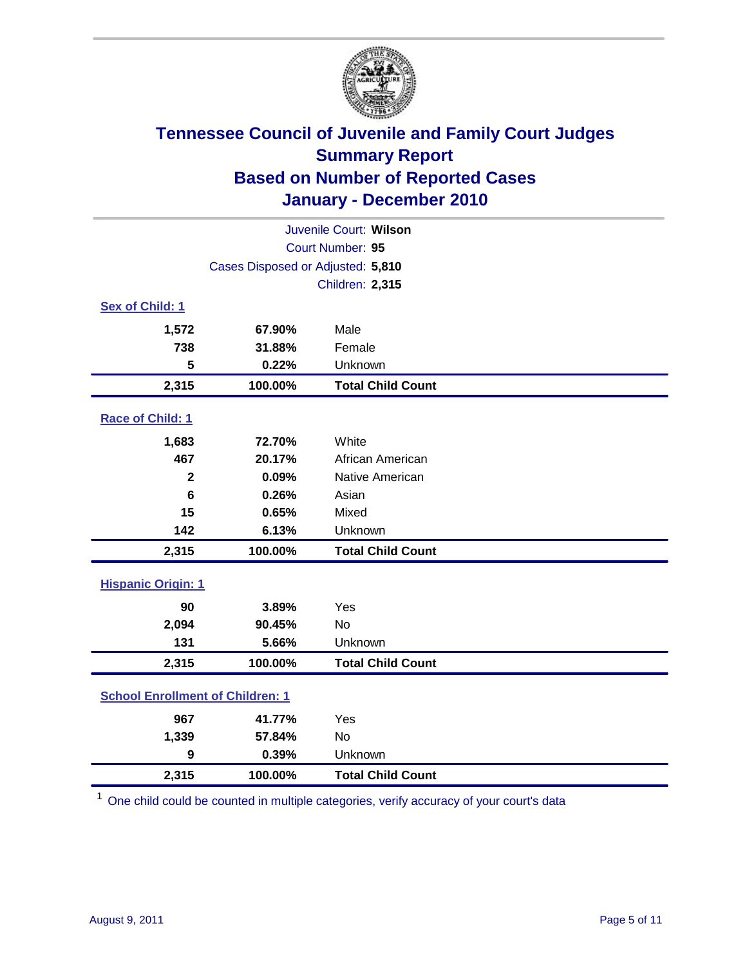

| Juvenile Court: Wilson                  |                                   |                          |  |  |
|-----------------------------------------|-----------------------------------|--------------------------|--|--|
|                                         | Court Number: 95                  |                          |  |  |
|                                         | Cases Disposed or Adjusted: 5,810 |                          |  |  |
|                                         |                                   | <b>Children: 2,315</b>   |  |  |
| Sex of Child: 1                         |                                   |                          |  |  |
| 1,572                                   | 67.90%                            | Male                     |  |  |
| 738                                     | 31.88%                            | Female                   |  |  |
| 5                                       | 0.22%                             | Unknown                  |  |  |
| 2,315                                   | 100.00%                           | <b>Total Child Count</b> |  |  |
| Race of Child: 1                        |                                   |                          |  |  |
| 1,683                                   | 72.70%                            | White                    |  |  |
| 467                                     | 20.17%                            | African American         |  |  |
| $\mathbf{2}$                            | 0.09%                             | Native American          |  |  |
| 6                                       | 0.26%                             | Asian                    |  |  |
| 15                                      | 0.65%                             | Mixed                    |  |  |
| 142                                     | 6.13%                             | Unknown                  |  |  |
| 2,315                                   | 100.00%                           | <b>Total Child Count</b> |  |  |
| <b>Hispanic Origin: 1</b>               |                                   |                          |  |  |
| 90                                      | 3.89%                             | Yes                      |  |  |
| 2,094                                   | 90.45%                            | <b>No</b>                |  |  |
| 131                                     | 5.66%                             | Unknown                  |  |  |
| 2,315                                   | 100.00%                           | <b>Total Child Count</b> |  |  |
| <b>School Enrollment of Children: 1</b> |                                   |                          |  |  |
| 967                                     | 41.77%                            | Yes                      |  |  |
| 1,339                                   | 57.84%                            | No                       |  |  |
| $\boldsymbol{9}$                        | 0.39%                             | Unknown                  |  |  |
| 2,315                                   | 100.00%                           | <b>Total Child Count</b> |  |  |

<sup>1</sup> One child could be counted in multiple categories, verify accuracy of your court's data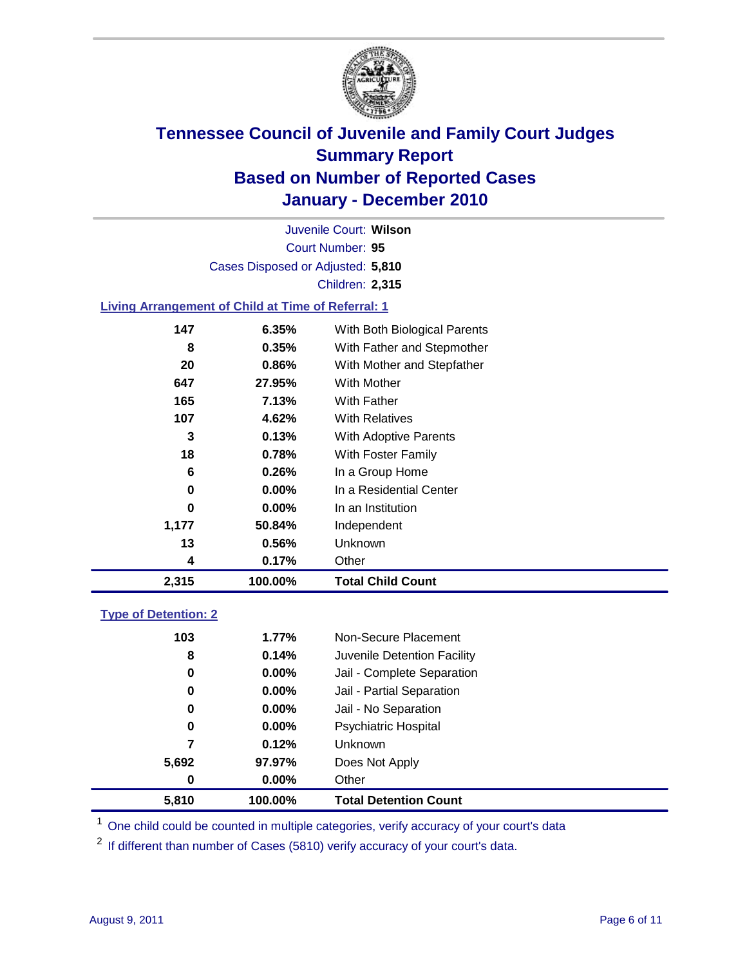

Court Number: **95** Juvenile Court: **Wilson** Cases Disposed or Adjusted: **5,810** Children: **2,315**

### **Living Arrangement of Child at Time of Referral: 1**

| 2,315 | 100.00%  | <b>Total Child Count</b>     |
|-------|----------|------------------------------|
| 4     | 0.17%    | Other                        |
| 13    | 0.56%    | <b>Unknown</b>               |
| 1,177 | 50.84%   | Independent                  |
| 0     | $0.00\%$ | In an Institution            |
| 0     | 0.00%    | In a Residential Center      |
| 6     | 0.26%    | In a Group Home              |
| 18    | 0.78%    | With Foster Family           |
| 3     | 0.13%    | <b>With Adoptive Parents</b> |
| 107   | 4.62%    | <b>With Relatives</b>        |
| 165   | 7.13%    | With Father                  |
| 647   | 27.95%   | With Mother                  |
| 20    | 0.86%    | With Mother and Stepfather   |
| 8     | 0.35%    | With Father and Stepmother   |
| 147   | 6.35%    | With Both Biological Parents |
|       |          |                              |

### **Type of Detention: 2**

| 5,810 | 100.00%  | <b>Total Detention Count</b> |
|-------|----------|------------------------------|
| 0     | $0.00\%$ | Other                        |
| 5,692 | 97.97%   | Does Not Apply               |
| 7     | 0.12%    | Unknown                      |
| 0     | 0.00%    | <b>Psychiatric Hospital</b>  |
| 0     | 0.00%    | Jail - No Separation         |
| 0     | $0.00\%$ | Jail - Partial Separation    |
| 0     | 0.00%    | Jail - Complete Separation   |
| 8     | 0.14%    | Juvenile Detention Facility  |
| 103   | 1.77%    | Non-Secure Placement         |
|       |          |                              |

<sup>1</sup> One child could be counted in multiple categories, verify accuracy of your court's data

<sup>2</sup> If different than number of Cases (5810) verify accuracy of your court's data.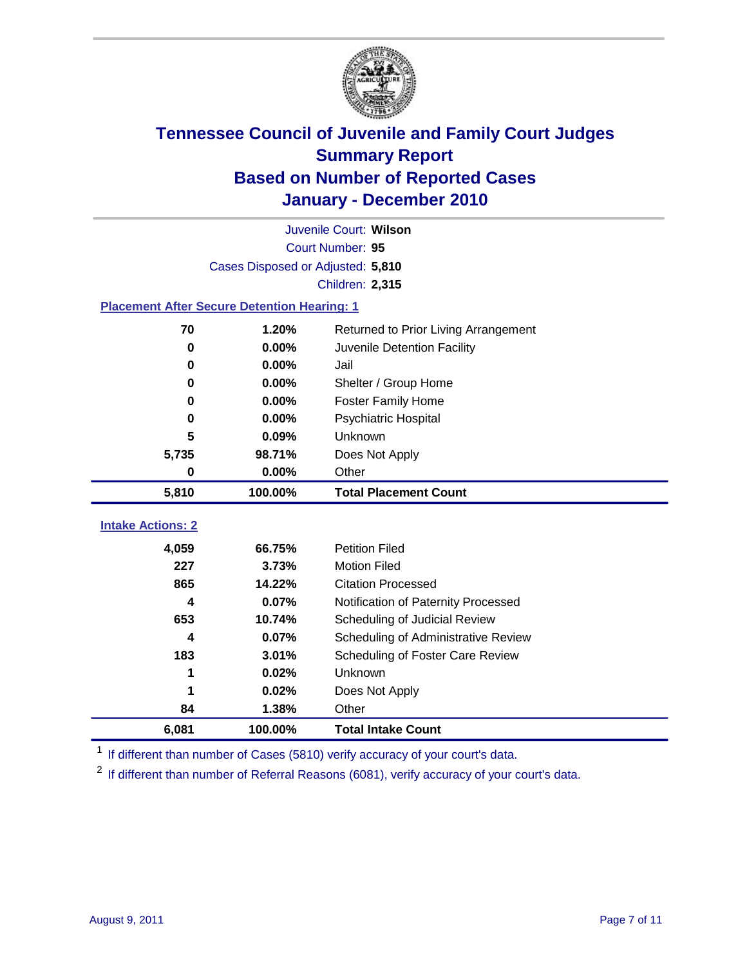

|                                                    | Juvenile Court: Wilson            |                                      |  |  |  |
|----------------------------------------------------|-----------------------------------|--------------------------------------|--|--|--|
|                                                    | Court Number: 95                  |                                      |  |  |  |
|                                                    | Cases Disposed or Adjusted: 5,810 |                                      |  |  |  |
|                                                    |                                   | <b>Children: 2,315</b>               |  |  |  |
| <b>Placement After Secure Detention Hearing: 1</b> |                                   |                                      |  |  |  |
| 70                                                 | 1.20%                             | Returned to Prior Living Arrangement |  |  |  |
| $\bf{0}$                                           | 0.00%                             | Juvenile Detention Facility          |  |  |  |
| $\bf{0}$                                           | 0.00%                             | Jail                                 |  |  |  |
| 0                                                  | 0.00%                             | Shelter / Group Home                 |  |  |  |
| 0                                                  | 0.00%                             | Foster Family Home                   |  |  |  |
| 0                                                  | 0.00%                             | Psychiatric Hospital                 |  |  |  |
| 5                                                  | 0.09%                             | Unknown                              |  |  |  |
| 5,735                                              | 98.71%                            | Does Not Apply                       |  |  |  |
| 0                                                  | $0.00\%$                          | Other                                |  |  |  |
| 5,810                                              | 100.00%                           | <b>Total Placement Count</b>         |  |  |  |
|                                                    |                                   |                                      |  |  |  |
| <b>Intake Actions: 2</b>                           |                                   |                                      |  |  |  |
| 4,059                                              | 66.75%                            | <b>Petition Filed</b>                |  |  |  |
| 227                                                | 3.73%                             | <b>Motion Filed</b>                  |  |  |  |
| 865                                                | 14.22%                            | <b>Citation Processed</b>            |  |  |  |
| 4                                                  | 0.07%                             | Notification of Paternity Processed  |  |  |  |
| 653                                                | 10.74%                            | Scheduling of Judicial Review        |  |  |  |
| 4                                                  | 0.07%                             | Scheduling of Administrative Review  |  |  |  |
| 183                                                | 3.01%                             | Scheduling of Foster Care Review     |  |  |  |
| 1                                                  | 0.02%                             | Unknown                              |  |  |  |
| 1                                                  | 0.02%                             | Does Not Apply                       |  |  |  |
| 84                                                 | 1.38%                             | Other                                |  |  |  |
| 6,081                                              | 100.00%                           | <b>Total Intake Count</b>            |  |  |  |

<sup>1</sup> If different than number of Cases (5810) verify accuracy of your court's data.

<sup>2</sup> If different than number of Referral Reasons (6081), verify accuracy of your court's data.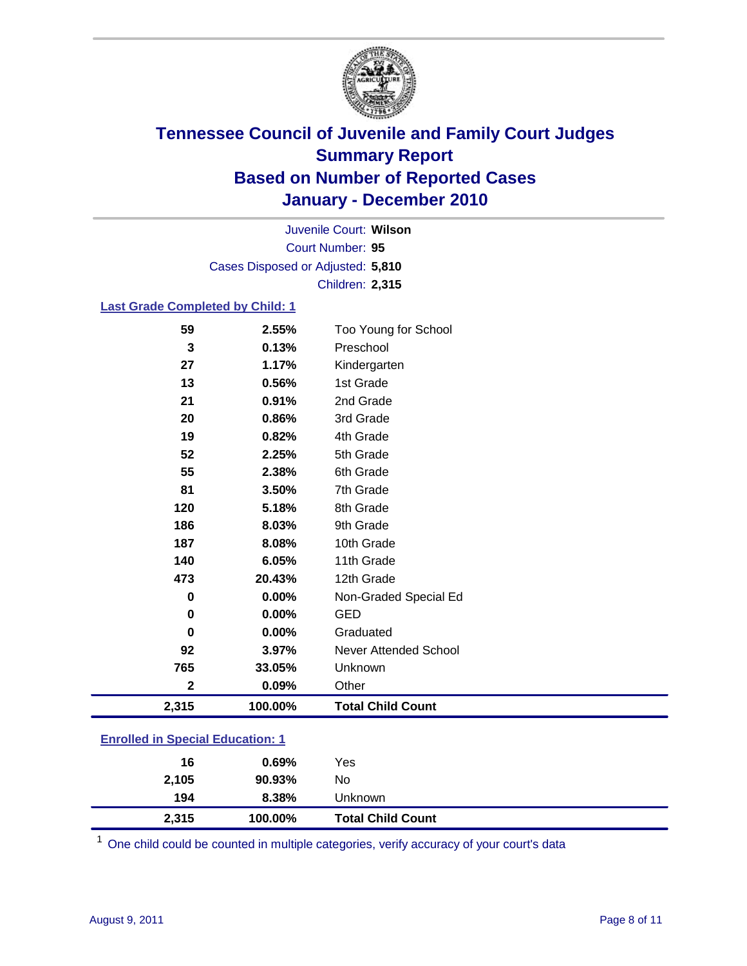

Court Number: **95** Juvenile Court: **Wilson** Cases Disposed or Adjusted: **5,810** Children: **2,315**

#### **Last Grade Completed by Child: 1**

| 59                                      | 2.55%   | Too Young for School     |  |
|-----------------------------------------|---------|--------------------------|--|
| 3                                       | 0.13%   | Preschool                |  |
| 27                                      | 1.17%   | Kindergarten             |  |
| 13                                      | 0.56%   | 1st Grade                |  |
| 21                                      | 0.91%   | 2nd Grade                |  |
| 20                                      | 0.86%   | 3rd Grade                |  |
| 19                                      | 0.82%   | 4th Grade                |  |
| 52                                      | 2.25%   | 5th Grade                |  |
| 55                                      | 2.38%   | 6th Grade                |  |
| 81                                      | 3.50%   | 7th Grade                |  |
| 120                                     | 5.18%   | 8th Grade                |  |
| 186                                     | 8.03%   | 9th Grade                |  |
| 187                                     | 8.08%   | 10th Grade               |  |
| 140                                     | 6.05%   | 11th Grade               |  |
| 473                                     | 20.43%  | 12th Grade               |  |
| 0                                       | 0.00%   | Non-Graded Special Ed    |  |
| $\mathbf 0$                             | 0.00%   | <b>GED</b>               |  |
| $\bf{0}$                                | 0.00%   | Graduated                |  |
| 92                                      | 3.97%   | Never Attended School    |  |
| 765                                     | 33.05%  | Unknown                  |  |
| $\mathbf 2$                             | 0.09%   | Other                    |  |
| 2,315                                   | 100.00% | <b>Total Child Count</b> |  |
| <b>Enrolled in Special Education: 1</b> |         |                          |  |

| 2,315                             | 100.00% | <b>Total Child Count</b> |  |  |
|-----------------------------------|---------|--------------------------|--|--|
| 194                               | 8.38%   | Unknown                  |  |  |
| 2,105                             | 90.93%  | No                       |  |  |
| 16                                | 0.69%   | Yes                      |  |  |
| _________________________________ |         |                          |  |  |

One child could be counted in multiple categories, verify accuracy of your court's data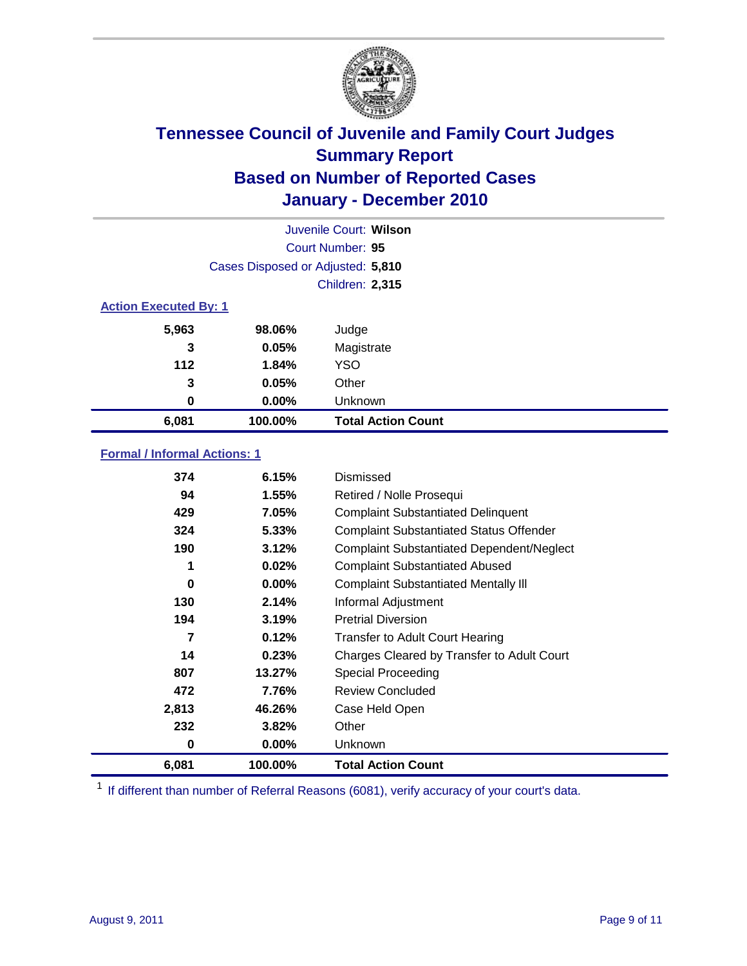

|                              | Juvenile Court: Wilson            |                           |  |  |  |
|------------------------------|-----------------------------------|---------------------------|--|--|--|
|                              | Court Number: 95                  |                           |  |  |  |
|                              | Cases Disposed or Adjusted: 5,810 |                           |  |  |  |
|                              | <b>Children: 2,315</b>            |                           |  |  |  |
| <b>Action Executed By: 1</b> |                                   |                           |  |  |  |
| 5,963                        | 98.06%                            | Judge                     |  |  |  |
| 3                            | 0.05%                             | Magistrate                |  |  |  |
| $112$                        | 1.84%                             | <b>YSO</b>                |  |  |  |
| 3                            | 0.05%                             | Other                     |  |  |  |
| 0                            | 0.00%                             | Unknown                   |  |  |  |
| 6,081                        | 100.00%                           | <b>Total Action Count</b> |  |  |  |

### **Formal / Informal Actions: 1**

| 374   | 6.15%    | <b>Dismissed</b>                                 |
|-------|----------|--------------------------------------------------|
| 94    | $1.55\%$ | Retired / Nolle Prosequi                         |
| 429   | 7.05%    | <b>Complaint Substantiated Delinquent</b>        |
| 324   | 5.33%    | <b>Complaint Substantiated Status Offender</b>   |
| 190   | 3.12%    | <b>Complaint Substantiated Dependent/Neglect</b> |
| 1     | 0.02%    | <b>Complaint Substantiated Abused</b>            |
| 0     | $0.00\%$ | <b>Complaint Substantiated Mentally III</b>      |
| 130   | 2.14%    | Informal Adjustment                              |
| 194   | 3.19%    | <b>Pretrial Diversion</b>                        |
| 7     | 0.12%    | <b>Transfer to Adult Court Hearing</b>           |
| 14    | 0.23%    | Charges Cleared by Transfer to Adult Court       |
| 807   | 13.27%   | <b>Special Proceeding</b>                        |
| 472   | 7.76%    | <b>Review Concluded</b>                          |
| 2,813 | 46.26%   | Case Held Open                                   |
| 232   | 3.82%    | Other                                            |
| 0     | $0.00\%$ | Unknown                                          |
| 6,081 | 100.00%  | <b>Total Action Count</b>                        |

<sup>1</sup> If different than number of Referral Reasons (6081), verify accuracy of your court's data.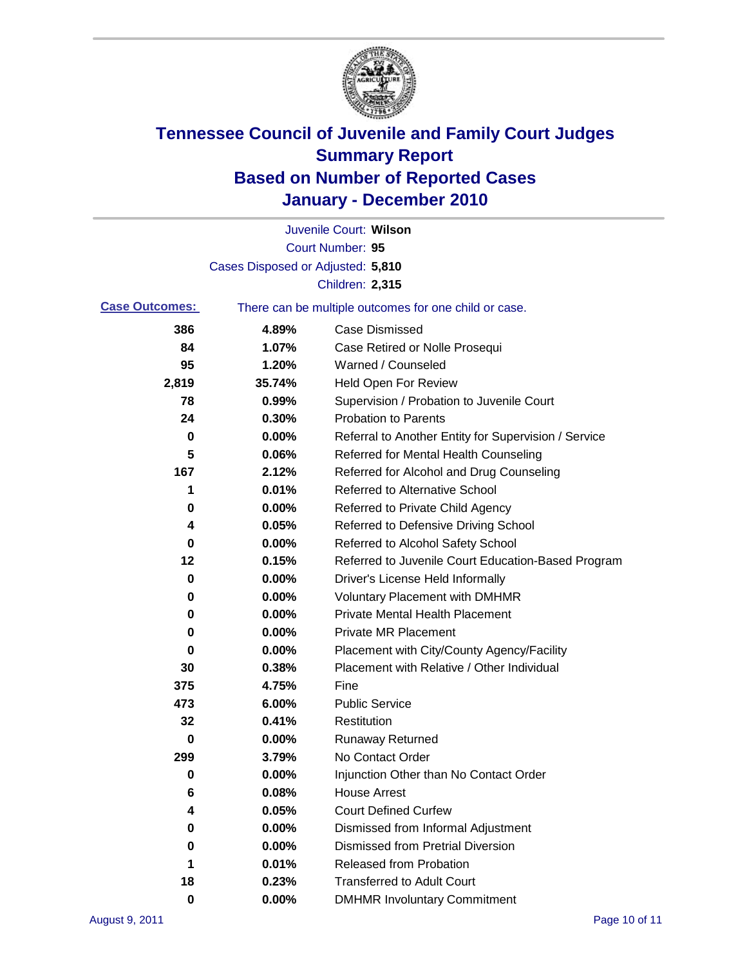

|                       |                                   | Juvenile Court: Wilson                                |
|-----------------------|-----------------------------------|-------------------------------------------------------|
|                       |                                   | Court Number: 95                                      |
|                       | Cases Disposed or Adjusted: 5,810 |                                                       |
|                       |                                   | <b>Children: 2,315</b>                                |
| <b>Case Outcomes:</b> |                                   | There can be multiple outcomes for one child or case. |
| 386                   | 4.89%                             | <b>Case Dismissed</b>                                 |
| 84                    | 1.07%                             | Case Retired or Nolle Prosequi                        |
| 95                    | 1.20%                             | Warned / Counseled                                    |
| 2,819                 | 35.74%                            | <b>Held Open For Review</b>                           |
| 78                    | 0.99%                             | Supervision / Probation to Juvenile Court             |
| 24                    | 0.30%                             | <b>Probation to Parents</b>                           |
| 0                     | 0.00%                             | Referral to Another Entity for Supervision / Service  |
| 5                     | 0.06%                             | Referred for Mental Health Counseling                 |
| 167                   | 2.12%                             | Referred for Alcohol and Drug Counseling              |
| 1                     | 0.01%                             | <b>Referred to Alternative School</b>                 |
| 0                     | 0.00%                             | Referred to Private Child Agency                      |
| 4                     | 0.05%                             | Referred to Defensive Driving School                  |
| 0                     | 0.00%                             | Referred to Alcohol Safety School                     |
| 12                    | 0.15%                             | Referred to Juvenile Court Education-Based Program    |
| 0                     | 0.00%                             | Driver's License Held Informally                      |
| 0                     | 0.00%                             | <b>Voluntary Placement with DMHMR</b>                 |
| 0                     | 0.00%                             | <b>Private Mental Health Placement</b>                |
| 0                     | 0.00%                             | <b>Private MR Placement</b>                           |
| 0                     | 0.00%                             | Placement with City/County Agency/Facility            |
| 30                    | 0.38%                             | Placement with Relative / Other Individual            |
| 375                   | 4.75%                             | Fine                                                  |
| 473                   | 6.00%                             | <b>Public Service</b>                                 |
| 32                    | 0.41%                             | Restitution                                           |
| 0                     | 0.00%                             | <b>Runaway Returned</b>                               |
| 299                   | 3.79%                             | No Contact Order                                      |
| 0                     | 0.00%                             | Injunction Other than No Contact Order                |
| 6                     | 0.08%                             | <b>House Arrest</b>                                   |
| 4                     | 0.05%                             | <b>Court Defined Curfew</b>                           |
| 0                     | 0.00%                             | Dismissed from Informal Adjustment                    |
| 0                     | 0.00%                             | <b>Dismissed from Pretrial Diversion</b>              |
| 1                     | 0.01%                             | Released from Probation                               |
| 18                    | 0.23%                             | <b>Transferred to Adult Court</b>                     |
| $\mathbf 0$           | $0.00\%$                          | <b>DMHMR Involuntary Commitment</b>                   |